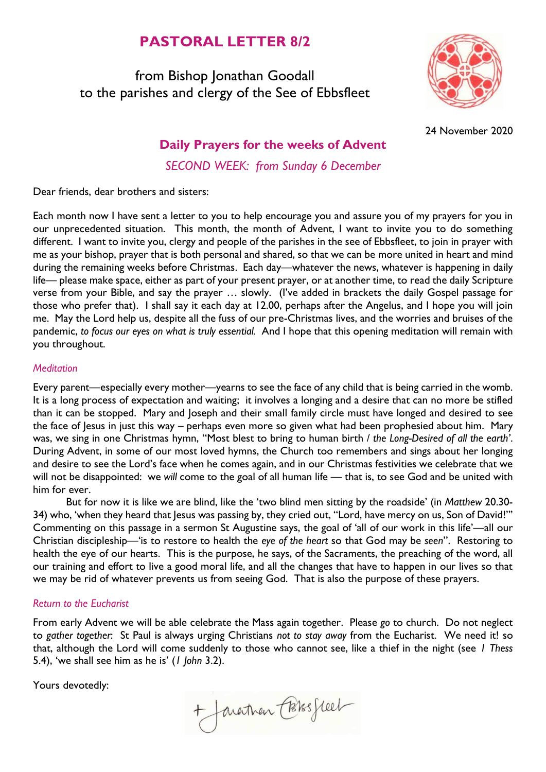# **PASTORAL LETTER 8/2**

from Bishop Jonathan Goodall to the parishes and clergy of the See of Ebbsfleet



24 November 2020

## **Daily Prayers for the weeks of Advent**

*SECOND WEEK: from Sunday 6 December*

Dear friends, dear brothers and sisters:

Each month now I have sent a letter to you to help encourage you and assure you of my prayers for you in our unprecedented situation. This month, the month of Advent, I want to invite you to do something different. I want to invite you, clergy and people of the parishes in the see of Ebbsfleet, to join in prayer with me as your bishop, prayer that is both personal and shared, so that we can be more united in heart and mind during the remaining weeks before Christmas. Each day—whatever the news, whatever is happening in daily life— please make space, either as part of your present prayer, or at another time, to read the daily Scripture verse from your Bible, and say the prayer … slowly. (I've added in brackets the daily Gospel passage for those who prefer that). I shall say it each day at 12.00, perhaps after the Angelus, and I hope you will join me. May the Lord help us, despite all the fuss of our pre-Christmas lives, and the worries and bruises of the pandemic, *to focus our eyes on what is truly essential.* And I hope that this opening meditation will remain with you throughout.

#### *Meditation*

Every parent—especially every mother—yearns to see the face of any child that is being carried in the womb. It is a long process of expectation and waiting; it involves a longing and a desire that can no more be stifled than it can be stopped. Mary and Joseph and their small family circle must have longed and desired to see the face of Jesus in just this way – perhaps even more so given what had been prophesied about him. Mary was, we sing in one Christmas hymn, "Most blest to bring to human birth / *the Long-Desired of all the earth'*. During Advent, in some of our most loved hymns, the Church too remembers and sings about her longing and desire to see the Lord's face when he comes again, and in our Christmas festivities we celebrate that we will not be disappointed: we *will* come to the goal of all human life — that is, to see God and be united with him for ever.

But for now it is like we are blind, like the 'two blind men sitting by the roadside' (in *Matthew* 20.30- 34) who, 'when they heard that Jesus was passing by, they cried out, "Lord, have mercy on us, Son of David!"' Commenting on this passage in a sermon St Augustine says, the goal of 'all of our work in this life'—all our Christian discipleship—'is to restore to health the *eye of the heart* so that God may be *seen*". Restoring to health the eye of our hearts. This is the purpose, he says, of the Sacraments, the preaching of the word, all our training and effort to live a good moral life, and all the changes that have to happen in our lives so that we may be rid of whatever prevents us from seeing God. That is also the purpose of these prayers.

#### *Return to the Eucharist*

From early Advent we will be able celebrate the Mass again together. Please *go* to church. Do not neglect to *gather together*: St Paul is always urging Christians *not to stay away* from the Eucharist. We need it! so that, although the Lord will come suddenly to those who cannot see, like a thief in the night (see *1 Thess* 5.4), 'we shall see him as he is' (*1 John* 3.2).

Yours devotedly:

+ Javartnan Cossesseel